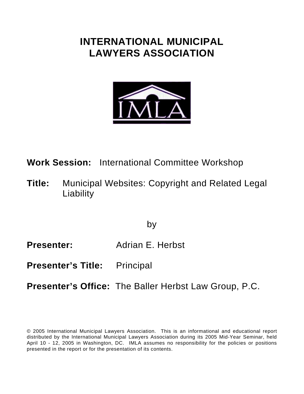# **INTERNATIONAL MUNICIPAL LAWYERS ASSOCIATION**



**Work Session:** International Committee Workshop

**Title:** Municipal Websites: Copyright and Related Legal Liability

by

**Presenter:** Adrian E. Herbst

**Presenter's Title:** Principal

## **Presenter's Office:** The Baller Herbst Law Group, P.C.

© 2005 International Municipal Lawyers Association. This is an informational and educational report distributed by the International Municipal Lawyers Association during its 2005 Mid-Year Seminar, held April 10 - 12, 2005 in Washington, DC. IMLA assumes no responsibility for the policies or positions presented in the report or for the presentation of its contents.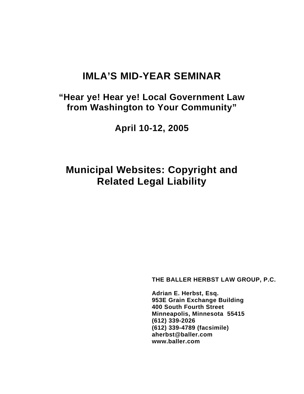## **IMLA'S MID-YEAR SEMINAR**

## **"Hear ye! Hear ye! Local Government Law from Washington to Your Community"**

**April 10-12, 2005** 

# **Municipal Websites: Copyright and Related Legal Liability**

**THE BALLER HERBST LAW GROUP, P.C.** 

 **Adrian E. Herbst, Esq. 953E Grain Exchange Building 400 South Fourth Street Minneapolis, Minnesota 55415 (612) 339-2026 (612) 339-4789 (facsimile) aherbst@baller.com www.baller.com**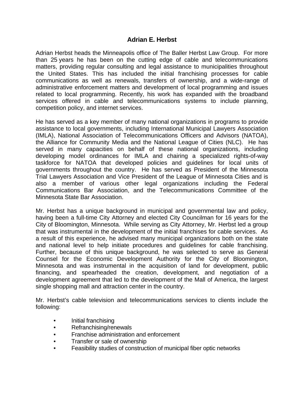## **Adrian E. Herbst**

Adrian Herbst heads the Minneapolis office of The Baller Herbst Law Group. For more than 25 years he has been on the cutting edge of cable and telecommunications matters, providing regular consulting and legal assistance to municipalities throughout the United States. This has included the initial franchising processes for cable communications as well as renewals, transfers of ownership, and a wide-range of administrative enforcement matters and development of local programming and issues related to local programming. Recently, his work has expanded with the broadband services offered in cable and telecommunications systems to include planning, competition policy, and internet services.

He has served as a key member of many national organizations in programs to provide assistance to local governments, including International Municipal Lawyers Association (IMLA), National Association of Telecommunications Officers and Advisors (NATOA), the Alliance for Community Media and the National League of Cities (NLC). He has served in many capacities on behalf of these national organizations, including developing model ordinances for IMLA and chairing a specialized rights-of-way taskforce for NATOA that developed policies and guidelines for local units of governments throughout the country. He has served as President of the Minnesota Trial Lawyers Association and Vice President of the League of Minnesota Cities and is also a member of various other legal organizations including the Federal Communications Bar Association, and the Telecommunications Committee of the Minnesota State Bar Association.

Mr. Herbst has a unique background in municipal and governmental law and policy, having been a full-time City Attorney and elected City Councilman for 16 years for the City of Bloomington, Minnesota. While serving as City Attorney, Mr. Herbst led a group that was instrumental in the development of the initial franchises for cable services. As a result of this experience, he advised many municipal organizations both on the state and national level to help initiate procedures and guidelines for cable franchising. Further, because of this unique background, he was selected to serve as General Counsel for the Economic Development Authority for the City of Bloomington, Minnesota and was instrumental in the acquisition of land for development, public financing, and spearheaded the creation, development, and negotiation of a development agreement that led to the development of the Mall of America, the largest single shopping mall and attraction center in the country.

Mr. Herbst's cable television and telecommunications services to clients include the following:

- Initial franchising
- Refranchising/renewals
- Franchise administration and enforcement
- Transfer or sale of ownership
- Feasibility studies of construction of municipal fiber optic networks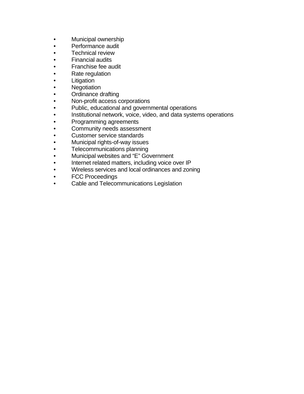- Municipal ownership
- Performance audit
- Technical review
- Financial audits
- Franchise fee audit
- Rate regulation
- **Litigation**
- **Negotiation**
- Ordinance drafting
- Non-profit access corporations
- Public, educational and governmental operations
- Institutional network, voice, video, and data systems operations
- Programming agreements
- Community needs assessment
- Customer service standards
- Municipal rights-of-way issues
- Telecommunications planning
- Municipal websites and "E" Government
- Internet related matters, including voice over IP
- Wireless services and local ordinances and zoning
- FCC Proceedings
- Cable and Telecommunications Legislation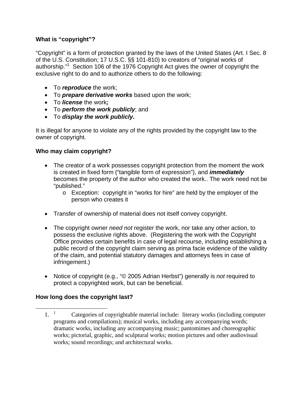## **What is "copyright"?**

"Copyright" is a form of protection granted by the laws of the United States (Art. I Sec. 8 of the U.S. Constitution; 17 U.S.C. §§ 101-810) to creators of "original works of authorship."[1](#page-4-0) Section 106 of the 1976 Copyright Act gives the owner of copyright the exclusive right to do and to authorize others to do the following:

- To *reproduce* the work;
- To *prepare derivative works* based upon the work;
- To *license* the work*;*
- To *perform the work publicly*; and
- To *display the work publicly.*

It is illegal for anyone to violate any of the rights provided by the copyright law to the owner of copyright.

## **Who may claim copyright?**

- The creator of a work possesses copyright protection from the moment the work is created in fixed form ("tangible form of expression"), and *immediately* becomes the property of the author who created the work.. The work need not be "published."
	- o Exception: copyright in "works for hire" are held by the employer of the person who creates it
- Transfer of ownership of material does not itself convey copyright.
- The copyright owner *need not* register the work, nor take any other action, to possess the exclusive rights above. (Registering the work with the Copyright Office provides certain benefits in case of legal recourse, including establishing a public record of the copyright claim serving as prima facie evidence of the validity of the claim, and potential statutory damages and attorneys fees in case of infringement.)
- Notice of copyright (e.g., "© 2005 Adrian Herbst") generally is *not* required to protect a copyrighted work, but can be beneficial.

## **How long does the copyright last?**

 $\overline{a}$ 

<span id="page-4-0"></span><sup>1.</sup> <sup>1</sup> Categories of copyrightable material include: literary works (including computer programs and compilations); musical works, including any accompanying words; dramatic works, including any accompanying music; pantomimes and choreographic works; pictorial, graphic, and sculptural works; motion pictures and other audiovisual works; sound recordings; and architectural works.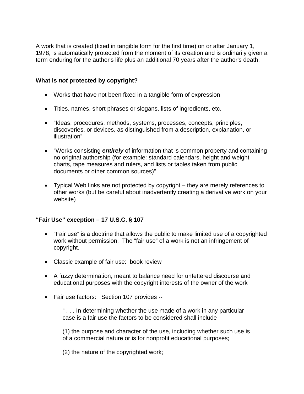A work that is created (fixed in tangible form for the first time) on or after January 1, 1978, is automatically protected from the moment of its creation and is ordinarily given a term enduring for the author's life plus an additional 70 years after the author's death.

#### **What is** *not* **protected by copyright?**

- Works that have not been fixed in a tangible form of expression
- Titles, names, short phrases or slogans, lists of ingredients, etc.
- "Ideas, procedures, methods, systems, processes, concepts, principles, discoveries, or devices, as distinguished from a description, explanation, or illustration"
- "Works consisting *entirely* of information that is common property and containing no original authorship (for example: standard calendars, height and weight charts, tape measures and rulers, and lists or tables taken from public documents or other common sources)"
- Typical Web links are not protected by copyright they are merely references to other works (but be careful about inadvertently creating a derivative work on your website)

#### **"Fair Use" exception – 17 U.S.C. § 107**

- "Fair use" is a doctrine that allows the public to make limited use of a copyrighted work without permission. The "fair use" of a work is not an infringement of copyright.
- Classic example of fair use: book review
- A fuzzy determination, meant to balance need for unfettered discourse and educational purposes with the copyright interests of the owner of the work
- Fair use factors: Section 107 provides --

" . . . In determining whether the use made of a work in any particular case is a fair use the factors to be considered shall include —

(1) the purpose and character of the use, including whether such use is of a commercial nature or is for nonprofit educational purposes;

(2) the nature of the copyrighted work;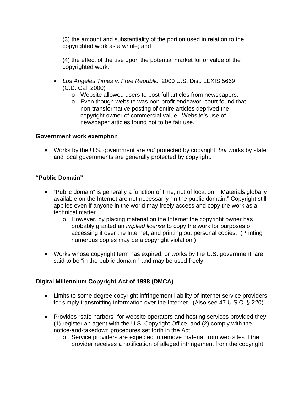(3) the amount and substantiality of the portion used in relation to the copyrighted work as a whole; and

(4) the effect of the use upon the potential market for or value of the copyrighted work."

- *Los Angeles Times v. Free Republic,* 2000 U.S. Dist. LEXIS 5669 (C.D. Cal. 2000)
	- o Website allowed users to post full articles from newspapers.
	- o Even though website was non-profit endeavor, court found that non-transformative posting of entire articles deprived the copyright owner of commercial value. Website's use of newspaper articles found not to be fair use.

#### **Government work exemption**

• Works by the U.S. government are *not* protected by copyright, *but* works by state and local governments are generally protected by copyright.

#### **"Public Domain"**

- "Public domain" is generally a function of time, not of location. Materials globally available on the Internet are not necessarily "in the public domain." Copyright still applies even if anyone in the world may freely access and copy the work as a technical matter.
	- o However, by placing material on the Internet the copyright owner has probably granted an *implied license* to copy the work for purposes of accessing it over the Internet, and printing out personal copies. (Printing numerous copies may be a copyright violation.)
- Works whose copyright term has expired, or works by the U.S. government, are said to be "in the public domain," and may be used freely.

## **Digital Millennium Copyright Act of 1998 (DMCA)**

- Limits to some degree copyright infringement liability of Internet service providers for simply transmitting information over the Internet. (Also see 47 U.S.C. § 220).
- Provides "safe harbors" for website operators and hosting services provided they (1) register an agent with the U.S. Copyright Office, and (2) comply with the notice-and-takedown procedures set forth in the Act.
	- o Service providers are expected to remove material from web sites if the provider receives a notification of alleged infringement from the copyright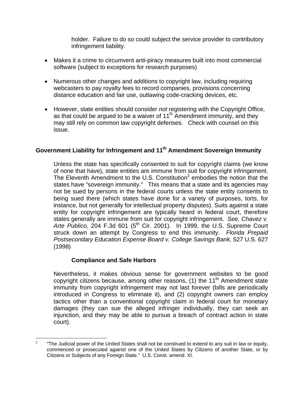holder. Failure to do so could subject the service provider to contributory infringement liability.

- Makes it a crime to circumvent anti-piracy measures built into most commercial software (subject to exceptions for research purposes)
- Numerous other changes and additions to copyright law, including requiring webcasters to pay royalty fees to record companies, provisions concerning distance education and fair use, outlawing code-cracking devices, etc.
- However, state entities should consider *not* registering with the Copyright Office, as that could be argued to be a waiver of  $11<sup>th</sup>$  Amendment immunity, and they may still rely on common law copyright defenses. Check with counsel on this issue.

## **Government Liability for Infringement and 11th Amendment Sovereign Immunity**

Unless the state has specifically consented to suit for copyright claims (we know of none that have), state entities are immune from suit for copyright infringement. The Eleventh Amendment to the U.S. Constitution<sup>[2](#page-7-0)</sup> embodies the notion that the states have "sovereign immunity." This means that a state and its agencies may not be sued by persons in the federal courts unless the state entity consents to being sued there (which states have done for a variety of purposes, torts, for instance, but not generally for intellectual property disputes). Suits against a state entity for copyright infringement are typically heard in federal court, therefore states generally are immune from suit for copyright infringement. *See, Chavez v.*  Arte Publico, 204 F.3d 601 (5<sup>th</sup> Cir. 2001). In 1999, the U.S. Supreme Court struck down an attempt by Congress to end this immunity. *Florida Prepaid Postsecondary Education Expense Board v. College Savings Bank,* 527 U.S. 627 (1998)

#### **Compliance and Safe Harbors**

Nevertheless, it makes obvious sense for government websites to be good copyright citizens because, among other reasons,  $(1)$  the 11<sup>th</sup> Amendment state immunity from copyright infringement may not last forever (bills are periodically introduced in Congress to eliminate it), and (2) copyright owners can employ tactics other than a conventional copyright claim in federal court for monetary damages (they can sue the alleged infringer individually, they can seek an injunction, and they may be able to pursue a breach of contract action in state court).

<span id="page-7-0"></span> $\frac{1}{2}$  "The Judicial power of the United States shall not be construed to extend to any suit in law or equity, commenced or prosecuted against one of the United States by Citizens of another State, or by Citizens or Subjects of any Foreign State." U.S. Const. amend. XI.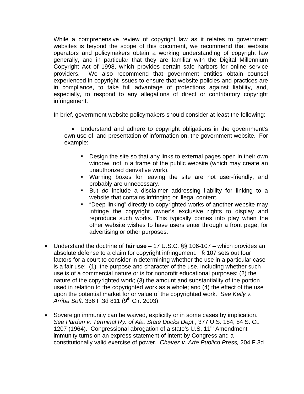While a comprehensive review of copyright law as it relates to government websites is beyond the scope of this document, we recommend that website operators and policymakers obtain a working understanding of copyright law generally, and in particular that they are familiar with the Digital Millennium Copyright Act of 1998, which provides certain safe harbors for online service providers. We also recommend that government entities obtain counsel experienced in copyright issues to ensure that website policies and practices are in compliance, to take full advantage of protections against liability, and, especially, to respond to any allegations of direct or contributory copyright infringement.

In brief, government website policymakers should consider at least the following:

• Understand and adhere to copyright obligations in the government's own use of, and presentation of information on, the government website. For example:

- Design the site so that any links to external pages open in their own window, not in a frame of the public website (which may create an unauthorized derivative work).
- Warning boxes for leaving the site are not user-friendly, and probably are unnecessary.
- But *do* include a disclaimer addressing liability for linking to a website that contains infringing or illegal content.
- "Deep linking" directly to copyrighted works of another website may infringe the copyright owner's exclusive rights to display and reproduce such works. This typically comes into play when the other website wishes to have users enter through a front page, for advertising or other purposes.
- Understand the doctrine of **fair use** 17 U.S.C. §§ 106-107 which provides an absolute defense to a claim for copyright infringement. § 107 sets out four factors for a court to consider in determining whether the use in a particular case is a fair use: (1) the purpose and character of the use, including whether such use is of a commercial nature or is for nonprofit educational purposes; (2) the nature of the copyrighted work; (3) the amount and substantiality of the portion used in relation to the copyrighted work as a whole; and (4) the effect of the use upon the potential market for or value of the copyrighted work. *See Kelly v.*  Arriba Soft, 336 F.3d 811 (9<sup>th</sup> Cir. 2003).
- Sovereign immunity can be waived, explicitly or in some cases by implication. *See Parden v. Terminal Ry. of Ala. State Docks Dept.*, 377 U.S. 184, 84 S. Ct. 1207 (1964). Congressional abrogation of a state's U.S. 11<sup>th</sup> Amendment immunity turns on an express statement of intent by Congress and a constitutionally valid exercise of power. *Chavez v. Arte Publico Press,* 204 F.3d